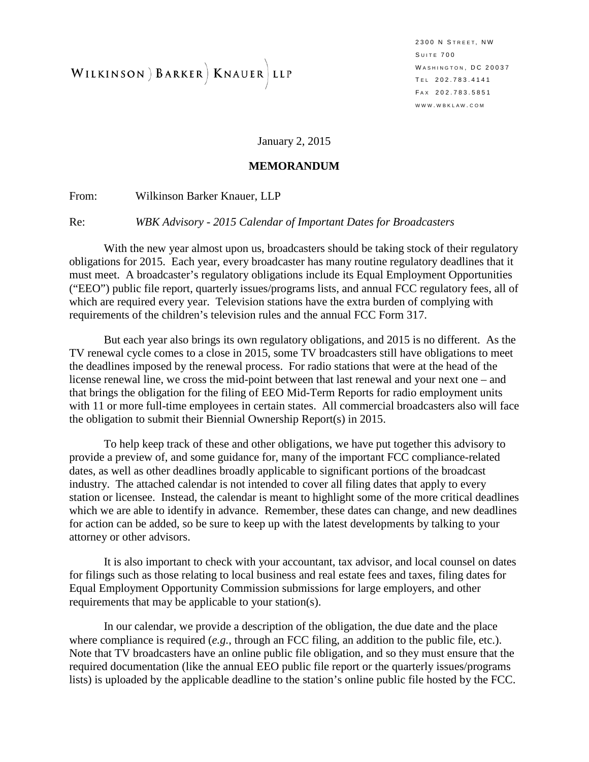WILKINSON ) BARKER | KNAUER LLP

2300 N STREET, NW **SUITE 700** WASHINGTON, DC 20037 T EL 202.783.4141 F AX 202.783.5851 WWW . WBKLAW . COM

January 2, 2015

#### **MEMORANDUM**

From: Wilkinson Barker Knauer, LLP

Re: *WBK Advisory - 2015 Calendar of Important Dates for Broadcasters*

With the new year almost upon us, broadcasters should be taking stock of their regulatory obligations for 2015. Each year, every broadcaster has many routine regulatory deadlines that it must meet. A broadcaster's regulatory obligations include its Equal Employment Opportunities ("EEO") public file report, quarterly issues/programs lists, and annual FCC regulatory fees, all of which are required every year. Television stations have the extra burden of complying with requirements of the children's television rules and the annual FCC Form 317.

But each year also brings its own regulatory obligations, and 2015 is no different. As the TV renewal cycle comes to a close in 2015, some TV broadcasters still have obligations to meet the deadlines imposed by the renewal process. For radio stations that were at the head of the license renewal line, we cross the mid-point between that last renewal and your next one – and that brings the obligation for the filing of EEO Mid-Term Reports for radio employment units with 11 or more full-time employees in certain states. All commercial broadcasters also will face the obligation to submit their Biennial Ownership Report(s) in 2015.

To help keep track of these and other obligations, we have put together this advisory to provide a preview of, and some guidance for, many of the important FCC compliance-related dates, as well as other deadlines broadly applicable to significant portions of the broadcast industry. The attached calendar is not intended to cover all filing dates that apply to every station or licensee. Instead, the calendar is meant to highlight some of the more critical deadlines which we are able to identify in advance. Remember, these dates can change, and new deadlines for action can be added, so be sure to keep up with the latest developments by talking to your attorney or other advisors.

It is also important to check with your accountant, tax advisor, and local counsel on dates for filings such as those relating to local business and real estate fees and taxes, filing dates for Equal Employment Opportunity Commission submissions for large employers, and other requirements that may be applicable to your station(s).

In our calendar, we provide a description of the obligation, the due date and the place where compliance is required (*e.g.*, through an FCC filing, an addition to the public file, etc.). Note that TV broadcasters have an online public file obligation, and so they must ensure that the required documentation (like the annual EEO public file report or the quarterly issues/programs lists) is uploaded by the applicable deadline to the station's online public file hosted by the FCC.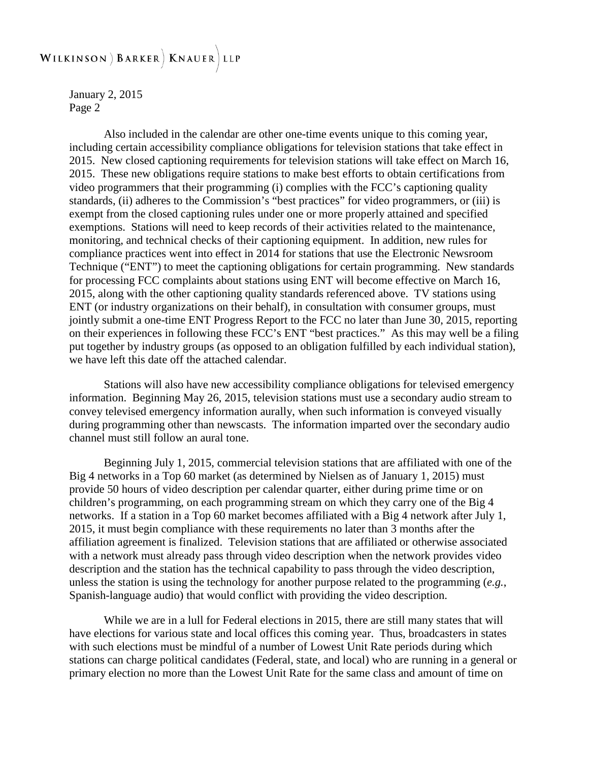#### WILKINSON ) BARKER | KNAUER LLP

January 2, 2015 Page 2

Also included in the calendar are other one-time events unique to this coming year, including certain accessibility compliance obligations for television stations that take effect in 2015. New closed captioning requirements for television stations will take effect on March 16, 2015. These new obligations require stations to make best efforts to obtain certifications from video programmers that their programming (i) complies with the FCC's captioning quality standards, (ii) adheres to the Commission's "best practices" for video programmers, or (iii) is exempt from the closed captioning rules under one or more properly attained and specified exemptions. Stations will need to keep records of their activities related to the maintenance, monitoring, and technical checks of their captioning equipment. In addition, new rules for compliance practices went into effect in 2014 for stations that use the Electronic Newsroom Technique ("ENT") to meet the captioning obligations for certain programming. New standards for processing FCC complaints about stations using ENT will become effective on March 16, 2015, along with the other captioning quality standards referenced above. TV stations using ENT (or industry organizations on their behalf), in consultation with consumer groups, must jointly submit a one-time ENT Progress Report to the FCC no later than June 30, 2015, reporting on their experiences in following these FCC's ENT "best practices." As this may well be a filing put together by industry groups (as opposed to an obligation fulfilled by each individual station), we have left this date off the attached calendar.

Stations will also have new accessibility compliance obligations for televised emergency information. Beginning May 26, 2015, television stations must use a secondary audio stream to convey televised emergency information aurally, when such information is conveyed visually during programming other than newscasts. The information imparted over the secondary audio channel must still follow an aural tone.

Beginning July 1, 2015, commercial television stations that are affiliated with one of the Big 4 networks in a Top 60 market (as determined by Nielsen as of January 1, 2015) must provide 50 hours of video description per calendar quarter, either during prime time or on children's programming, on each programming stream on which they carry one of the Big 4 networks. If a station in a Top 60 market becomes affiliated with a Big 4 network after July 1, 2015, it must begin compliance with these requirements no later than 3 months after the affiliation agreement is finalized. Television stations that are affiliated or otherwise associated with a network must already pass through video description when the network provides video description and the station has the technical capability to pass through the video description, unless the station is using the technology for another purpose related to the programming (*e.g.*, Spanish-language audio) that would conflict with providing the video description.

While we are in a lull for Federal elections in 2015, there are still many states that will have elections for various state and local offices this coming year. Thus, broadcasters in states with such elections must be mindful of a number of Lowest Unit Rate periods during which stations can charge political candidates (Federal, state, and local) who are running in a general or primary election no more than the Lowest Unit Rate for the same class and amount of time on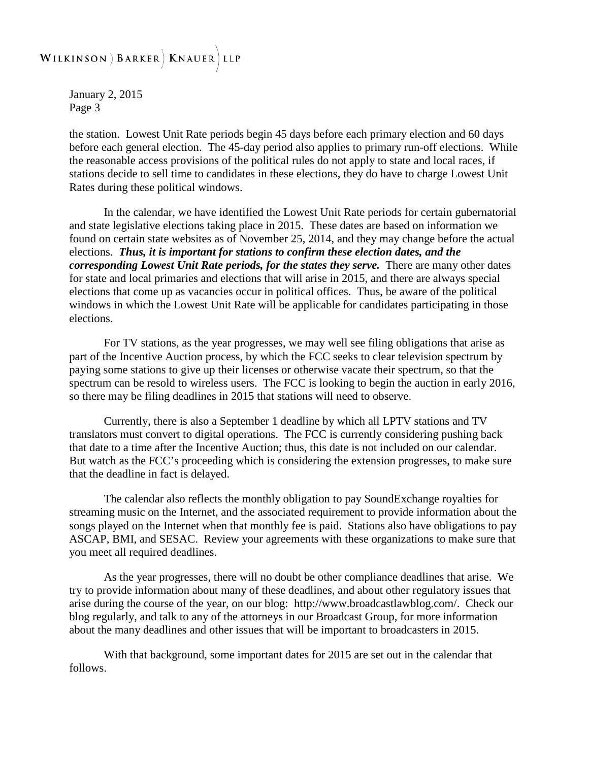#### WILKINSON ) BARKER | KNAUER LLP

January 2, 2015 Page 3

the station. Lowest Unit Rate periods begin 45 days before each primary election and 60 days before each general election. The 45-day period also applies to primary run-off elections. While the reasonable access provisions of the political rules do not apply to state and local races, if stations decide to sell time to candidates in these elections, they do have to charge Lowest Unit Rates during these political windows.

In the calendar, we have identified the Lowest Unit Rate periods for certain gubernatorial and state legislative elections taking place in 2015. These dates are based on information we found on certain state websites as of November 25, 2014, and they may change before the actual elections. *Thus, it is important for stations to confirm these election dates, and the corresponding Lowest Unit Rate periods, for the states they serve.* There are many other dates for state and local primaries and elections that will arise in 2015, and there are always special elections that come up as vacancies occur in political offices. Thus, be aware of the political windows in which the Lowest Unit Rate will be applicable for candidates participating in those elections.

For TV stations, as the year progresses, we may well see filing obligations that arise as part of the Incentive Auction process, by which the FCC seeks to clear television spectrum by paying some stations to give up their licenses or otherwise vacate their spectrum, so that the spectrum can be resold to wireless users. The FCC is looking to begin the auction in early 2016, so there may be filing deadlines in 2015 that stations will need to observe.

Currently, there is also a September 1 deadline by which all LPTV stations and TV translators must convert to digital operations. The FCC is currently considering pushing back that date to a time after the Incentive Auction; thus, this date is not included on our calendar. But watch as the FCC's proceeding which is considering the extension progresses, to make sure that the deadline in fact is delayed.

The calendar also reflects the monthly obligation to pay SoundExchange royalties for streaming music on the Internet, and the associated requirement to provide information about the songs played on the Internet when that monthly fee is paid. Stations also have obligations to pay ASCAP, BMI, and SESAC. Review your agreements with these organizations to make sure that you meet all required deadlines.

As the year progresses, there will no doubt be other compliance deadlines that arise. We try to provide information about many of these deadlines, and about other regulatory issues that arise during the course of the year, on our blog: http://www.broadcastlawblog.com/. Check our blog regularly, and talk to any of the attorneys in our Broadcast Group, for more information about the many deadlines and other issues that will be important to broadcasters in 2015.

With that background, some important dates for 2015 are set out in the calendar that follows.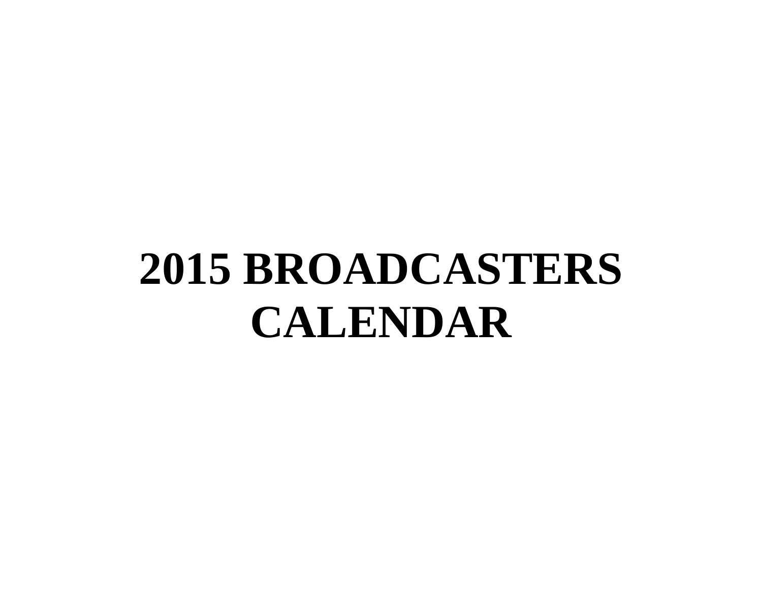# **2015 BROADCASTERS CALENDAR**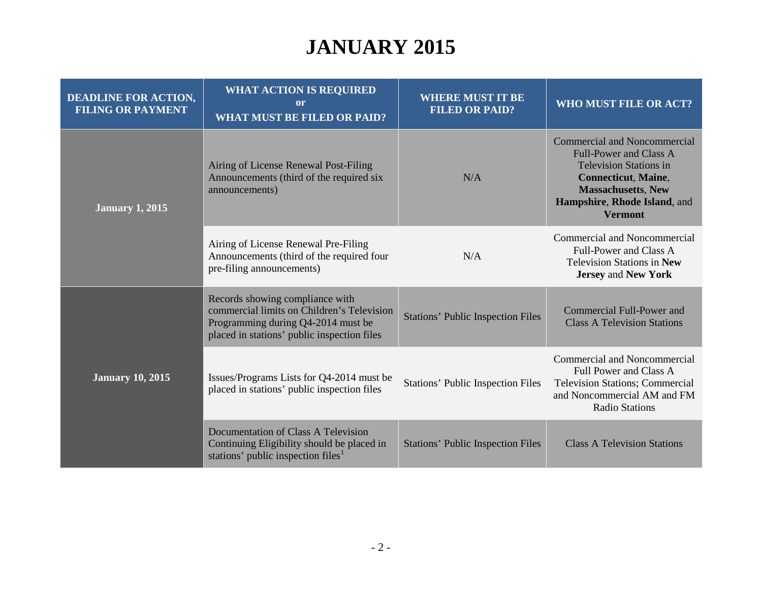# **JANUARY 2015**

| <b>DEADLINE FOR ACTION,</b><br><b>FILING OR PAYMENT</b> | <b>WHAT ACTION IS REQUIRED</b><br>or<br><b>WHAT MUST BE FILED OR PAID?</b>                                                                                         | <b>WHERE MUST IT BE</b><br><b>FILED OR PAID?</b> | WHO MUST FILE OR ACT?                                                                                                                                                                                              |
|---------------------------------------------------------|--------------------------------------------------------------------------------------------------------------------------------------------------------------------|--------------------------------------------------|--------------------------------------------------------------------------------------------------------------------------------------------------------------------------------------------------------------------|
| <b>January 1, 2015</b>                                  | Airing of License Renewal Post-Filing<br>Announcements (third of the required six<br>announcements)                                                                | N/A                                              | <b>Commercial and Noncommercial</b><br><b>Full-Power and Class A</b><br><b>Television Stations in</b><br><b>Connecticut, Maine,</b><br><b>Massachusetts, New</b><br>Hampshire, Rhode Island, and<br><b>Vermont</b> |
|                                                         | Airing of License Renewal Pre-Filing<br>Announcements (third of the required four<br>pre-filing announcements)                                                     | N/A                                              | Commercial and Noncommercial<br>Full-Power and Class A<br><b>Television Stations in New</b><br><b>Jersey and New York</b>                                                                                          |
| <b>January 10, 2015</b>                                 | Records showing compliance with<br>commercial limits on Children's Television<br>Programming during Q4-2014 must be<br>placed in stations' public inspection files | <b>Stations' Public Inspection Files</b>         | Commercial Full-Power and<br><b>Class A Television Stations</b>                                                                                                                                                    |
|                                                         | Issues/Programs Lists for Q4-2014 must be<br>placed in stations' public inspection files                                                                           | <b>Stations' Public Inspection Files</b>         | Commercial and Noncommercial<br>Full Power and Class A<br><b>Television Stations; Commercial</b><br>and Noncommercial AM and FM<br><b>Radio Stations</b>                                                           |
|                                                         | Documentation of Class A Television<br>Continuing Eligibility should be placed in<br>stations' public inspection files <sup>1</sup>                                | <b>Stations' Public Inspection Files</b>         | <b>Class A Television Stations</b>                                                                                                                                                                                 |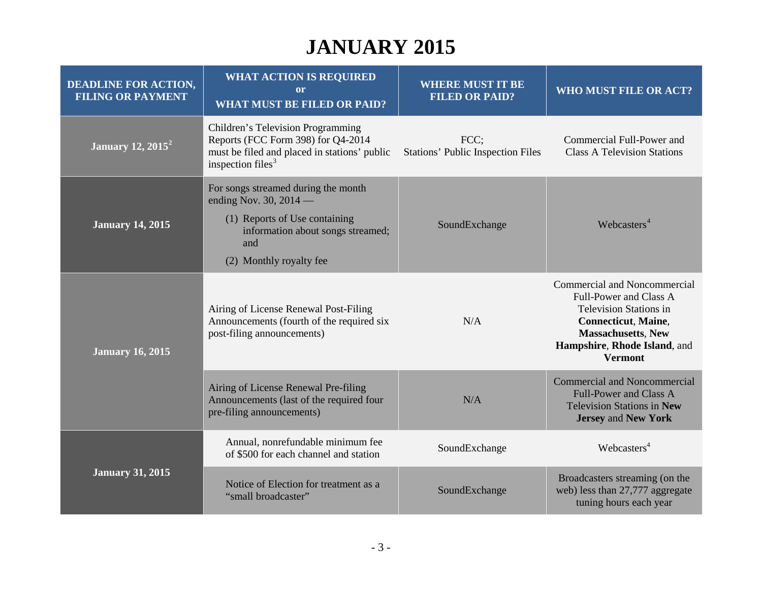# **JANUARY 2015**

| <b>DEADLINE FOR ACTION,</b><br><b>FILING OR PAYMENT</b> | <b>WHAT ACTION IS REQUIRED</b><br><sub>or</sub><br><b>WHAT MUST BE FILED OR PAID?</b>                                                                                   | <b>WHERE MUST IT BE</b><br><b>FILED OR PAID?</b> | <b>WHO MUST FILE OR ACT?</b>                                                                                                                                                                         |
|---------------------------------------------------------|-------------------------------------------------------------------------------------------------------------------------------------------------------------------------|--------------------------------------------------|------------------------------------------------------------------------------------------------------------------------------------------------------------------------------------------------------|
| January 12, $2015^2$                                    | Children's Television Programming<br>Reports (FCC Form 398) for Q4-2014<br>must be filed and placed in stations' public<br>inspection files $3$                         | FCC:<br><b>Stations' Public Inspection Files</b> | Commercial Full-Power and<br><b>Class A Television Stations</b>                                                                                                                                      |
| <b>January 14, 2015</b>                                 | For songs streamed during the month<br>ending Nov. 30, $2014$ —<br>(1) Reports of Use containing<br>information about songs streamed;<br>and<br>(2) Monthly royalty fee | SoundExchange                                    | Webcasters <sup>4</sup>                                                                                                                                                                              |
| <b>January 16, 2015</b>                                 | Airing of License Renewal Post-Filing<br>Announcements (fourth of the required six<br>post-filing announcements)                                                        | N/A                                              | Commercial and Noncommercial<br>Full-Power and Class A<br><b>Television Stations in</b><br><b>Connecticut, Maine,</b><br><b>Massachusetts, New</b><br>Hampshire, Rhode Island, and<br><b>Vermont</b> |
|                                                         | Airing of License Renewal Pre-filing<br>Announcements (last of the required four<br>pre-filing announcements)                                                           | N/A                                              | <b>Commercial and Noncommercial</b><br><b>Full-Power and Class A</b><br><b>Television Stations in New</b><br><b>Jersey and New York</b>                                                              |
| <b>January 31, 2015</b>                                 | Annual, nonrefundable minimum fee<br>of \$500 for each channel and station                                                                                              | SoundExchange                                    | Webcasters <sup>4</sup>                                                                                                                                                                              |
|                                                         | Notice of Election for treatment as a<br>"small broadcaster"                                                                                                            | SoundExchange                                    | Broadcasters streaming (on the<br>web) less than 27,777 aggregate<br>tuning hours each year                                                                                                          |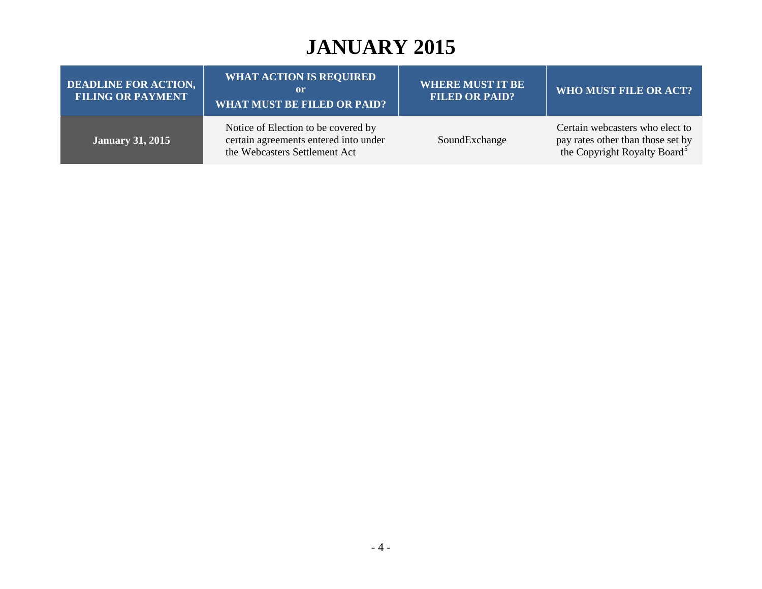### **JANUARY 2015**

| <b>DEADLINE FOR ACTION,</b><br><b>FILING OR PAYMENT</b> | <b>WHAT ACTION IS REQUIRED</b><br><sub>or</sub><br><b>WHAT MUST BE FILED OR PAID?</b>                         | <b>WHERE MUST IT BE</b><br><b>FILED OR PAID?</b> | WHO MUST FILE OR ACT?                                                                                            |
|---------------------------------------------------------|---------------------------------------------------------------------------------------------------------------|--------------------------------------------------|------------------------------------------------------------------------------------------------------------------|
| <b>January 31, 2015</b>                                 | Notice of Election to be covered by<br>certain agreements entered into under<br>the Webcasters Settlement Act | SoundExchange                                    | Certain webcasters who elect to<br>pay rates other than those set by<br>the Copyright Royalty Board <sup>5</sup> |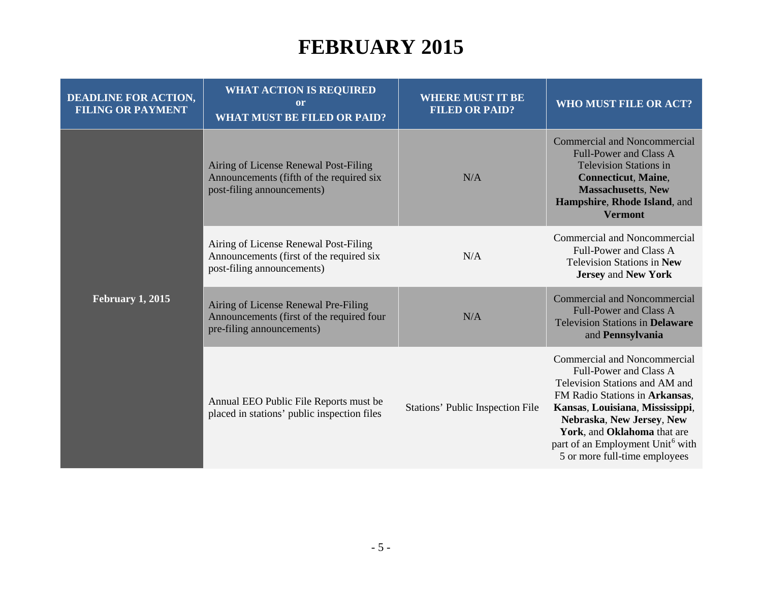#### **FEBRUARY 2015**

| <b>DEADLINE FOR ACTION,</b><br><b>FILING OR PAYMENT</b> | <b>WHAT ACTION IS REQUIRED</b><br>or<br><b>WHAT MUST BE FILED OR PAID?</b>                                      | <b>WHERE MUST IT BE</b><br><b>FILED OR PAID?</b> | <b>WHO MUST FILE OR ACT?</b>                                                                                                                                                                                                                                                                               |
|---------------------------------------------------------|-----------------------------------------------------------------------------------------------------------------|--------------------------------------------------|------------------------------------------------------------------------------------------------------------------------------------------------------------------------------------------------------------------------------------------------------------------------------------------------------------|
| <b>February 1, 2015</b>                                 | Airing of License Renewal Post-Filing<br>Announcements (fifth of the required six<br>post-filing announcements) | N/A                                              | <b>Commercial and Noncommercial</b><br><b>Full-Power and Class A</b><br><b>Television Stations in</b><br><b>Connecticut</b> , Maine,<br><b>Massachusetts, New</b><br>Hampshire, Rhode Island, and<br><b>Vermont</b>                                                                                        |
|                                                         | Airing of License Renewal Post-Filing<br>Announcements (first of the required six<br>post-filing announcements) | N/A                                              | <b>Commercial and Noncommercial</b><br>Full-Power and Class A<br><b>Television Stations in New</b><br><b>Jersey and New York</b>                                                                                                                                                                           |
|                                                         | Airing of License Renewal Pre-Filing<br>Announcements (first of the required four<br>pre-filing announcements)  | N/A                                              | <b>Commercial and Noncommercial</b><br><b>Full-Power and Class A</b><br><b>Television Stations in Delaware</b><br>and Pennsylvania                                                                                                                                                                         |
|                                                         | Annual EEO Public File Reports must be<br>placed in stations' public inspection files                           | Stations' Public Inspection File                 | Commercial and Noncommercial<br>Full-Power and Class A<br>Television Stations and AM and<br>FM Radio Stations in Arkansas,<br>Kansas, Louisiana, Mississippi,<br>Nebraska, New Jersey, New<br>York, and Oklahoma that are<br>part of an Employment Unit <sup>6</sup> with<br>5 or more full-time employees |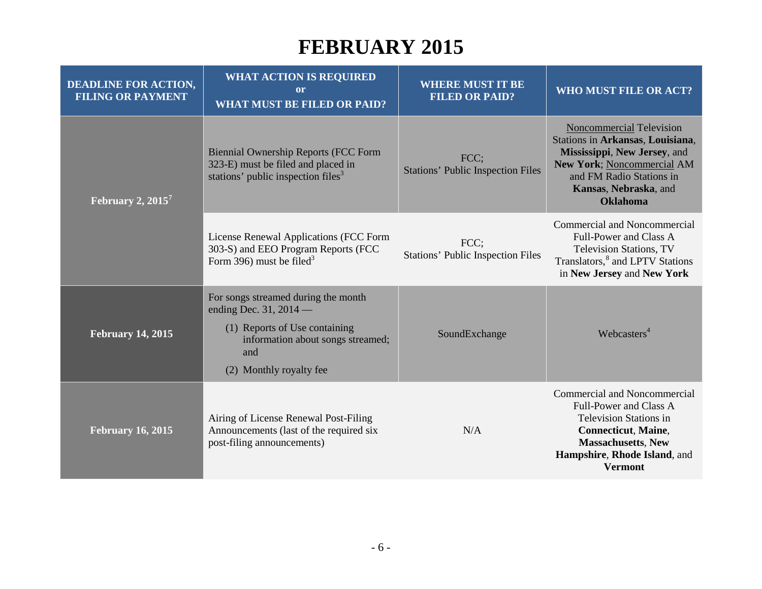#### **FEBRUARY 2015**

| <b>DEADLINE FOR ACTION,</b><br><b>FILING OR PAYMENT</b> | <b>WHAT ACTION IS REQUIRED</b><br>or<br><b>WHAT MUST BE FILED OR PAID?</b>                                                          | <b>WHERE MUST IT BE</b><br><b>FILED OR PAID?</b> | WHO MUST FILE OR ACT?                                                                                                                                                                                     |
|---------------------------------------------------------|-------------------------------------------------------------------------------------------------------------------------------------|--------------------------------------------------|-----------------------------------------------------------------------------------------------------------------------------------------------------------------------------------------------------------|
| February 2, $2015^7$                                    | <b>Biennial Ownership Reports (FCC Form</b><br>323-E) must be filed and placed in<br>stations' public inspection files <sup>3</sup> | FCC;<br><b>Stations' Public Inspection Files</b> | Noncommercial Television<br>Stations in Arkansas, Louisiana,<br>Mississippi, New Jersey, and<br><b>New York; Noncommercial AM</b><br>and FM Radio Stations in<br>Kansas, Nebraska, and<br><b>Oklahoma</b> |
|                                                         | License Renewal Applications (FCC Form<br>303-S) and EEO Program Reports (FCC<br>Form 396) must be filed <sup>3</sup>               | FCC:<br><b>Stations' Public Inspection Files</b> | <b>Commercial and Noncommercial</b><br>Full-Power and Class A<br><b>Television Stations, TV</b><br>Translators, <sup>8</sup> and LPTV Stations<br>in New Jersey and New York                              |
| <b>February 14, 2015</b>                                | For songs streamed during the month<br>ending Dec. 31, 2014 —                                                                       |                                                  |                                                                                                                                                                                                           |
|                                                         | (1) Reports of Use containing<br>information about songs streamed;<br>and                                                           | SoundExchange                                    | Webcasters <sup>4</sup>                                                                                                                                                                                   |
|                                                         | (2) Monthly royalty fee                                                                                                             |                                                  |                                                                                                                                                                                                           |
| <b>February 16, 2015</b>                                | Airing of License Renewal Post-Filing<br>Announcements (last of the required six<br>post-filing announcements)                      | N/A                                              | Commercial and Noncommercial<br>Full-Power and Class A<br><b>Television Stations in</b><br><b>Connecticut</b> , Maine,<br><b>Massachusetts, New</b><br>Hampshire, Rhode Island, and<br><b>Vermont</b>     |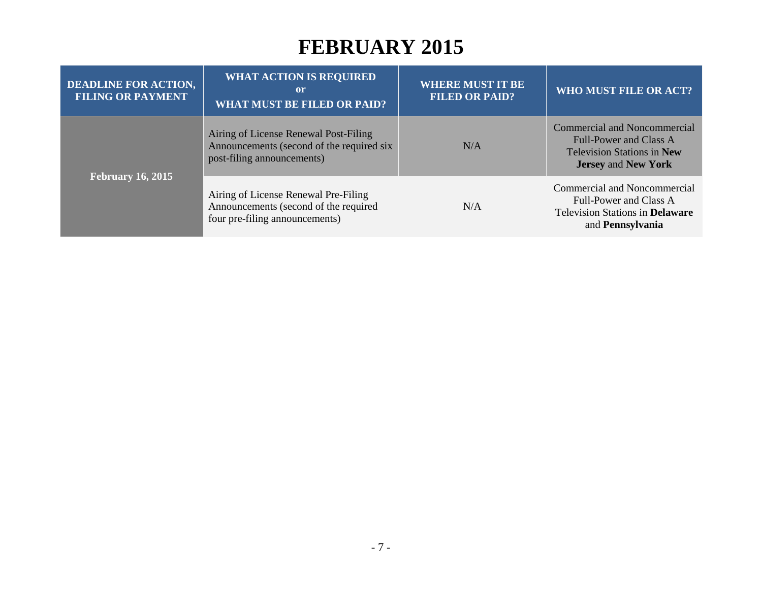#### **FEBRUARY 2015**

| <b>DEADLINE FOR ACTION,</b><br><b>FILING OR PAYMENT</b> | <b>WHAT ACTION IS REQUIRED</b><br>or<br><b>WHAT MUST BE FILED OR PAID?</b>                                       | <b>WHERE MUST IT BE</b><br><b>FILED OR PAID?</b> | WHO MUST FILE OR ACT?                                                                                                     |
|---------------------------------------------------------|------------------------------------------------------------------------------------------------------------------|--------------------------------------------------|---------------------------------------------------------------------------------------------------------------------------|
| <b>February 16, 2015</b>                                | Airing of License Renewal Post-Filing<br>Announcements (second of the required six<br>post-filing announcements) | N/A                                              | Commercial and Noncommercial<br>Full-Power and Class A<br><b>Television Stations in New</b><br><b>Jersey and New York</b> |
|                                                         | Airing of License Renewal Pre-Filing<br>Announcements (second of the required<br>four pre-filing announcements)  | N/A                                              | Commercial and Noncommercial<br>Full-Power and Class A<br><b>Television Stations in Delaware</b><br>and Pennsylvania      |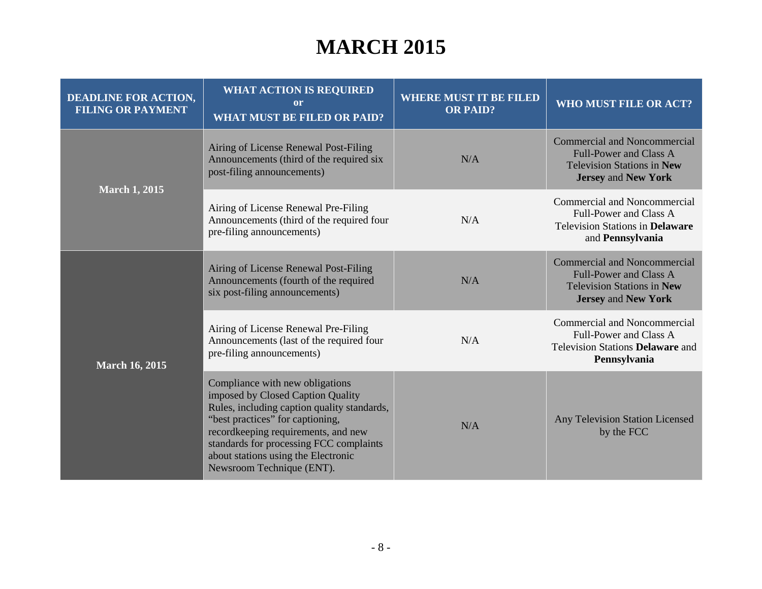## **MARCH 2015**

| <b>DEADLINE FOR ACTION,</b><br><b>FILING OR PAYMENT</b> | <b>WHAT ACTION IS REQUIRED</b><br><sub>or</sub><br><b>WHAT MUST BE FILED OR PAID?</b>                                                                                                                                                                                                                         | <b>WHERE MUST IT BE FILED</b><br><b>OR PAID?</b> | WHO MUST FILE OR ACT?                                                                                                                   |
|---------------------------------------------------------|---------------------------------------------------------------------------------------------------------------------------------------------------------------------------------------------------------------------------------------------------------------------------------------------------------------|--------------------------------------------------|-----------------------------------------------------------------------------------------------------------------------------------------|
| <b>March 1, 2015</b>                                    | Airing of License Renewal Post-Filing<br>Announcements (third of the required six<br>post-filing announcements)                                                                                                                                                                                               | N/A                                              | <b>Commercial and Noncommercial</b><br><b>Full-Power and Class A</b><br><b>Television Stations in New</b><br><b>Jersey and New York</b> |
|                                                         | Airing of License Renewal Pre-Filing<br>Announcements (third of the required four<br>pre-filing announcements)                                                                                                                                                                                                | N/A                                              | Commercial and Noncommercial<br>Full-Power and Class A<br><b>Television Stations in Delaware</b><br>and Pennsylvania                    |
| <b>March 16, 2015</b>                                   | Airing of License Renewal Post-Filing<br>Announcements (fourth of the required<br>six post-filing announcements)                                                                                                                                                                                              | N/A                                              | <b>Commercial and Noncommercial</b><br><b>Full-Power and Class A</b><br><b>Television Stations in New</b><br><b>Jersey and New York</b> |
|                                                         | Airing of License Renewal Pre-Filing<br>Announcements (last of the required four<br>pre-filing announcements)                                                                                                                                                                                                 | N/A                                              | Commercial and Noncommercial<br>Full-Power and Class A<br>Television Stations Delaware and<br>Pennsylvania                              |
|                                                         | Compliance with new obligations<br>imposed by Closed Caption Quality<br>Rules, including caption quality standards,<br>"best practices" for captioning,<br>recordkeeping requirements, and new<br>standards for processing FCC complaints<br>about stations using the Electronic<br>Newsroom Technique (ENT). | N/A                                              | Any Television Station Licensed<br>by the FCC                                                                                           |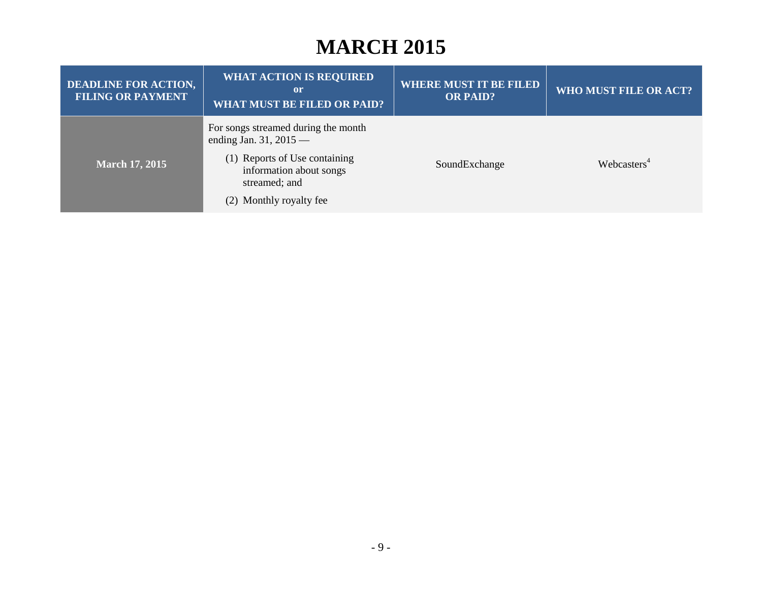#### **MARCH 2015**

| <b>DEADLINE FOR ACTION,</b><br><b>FILING OR PAYMENT</b> | <b>WHAT ACTION IS REQUIRED</b><br><sub>or</sub><br><b>WHAT MUST BE FILED OR PAID?</b>                                                        | <b>WHERE MUST IT BE FILED</b><br><b>OR PAID?</b> | WHO MUST FILE OR ACT?   |
|---------------------------------------------------------|----------------------------------------------------------------------------------------------------------------------------------------------|--------------------------------------------------|-------------------------|
| <b>March 17, 2015</b>                                   | For songs streamed during the month<br>ending Jan. 31, $2015$ —<br>(1) Reports of Use containing<br>information about songs<br>streamed; and | SoundExchange                                    | Webcasters <sup>4</sup> |
|                                                         | (2) Monthly royalty fee                                                                                                                      |                                                  |                         |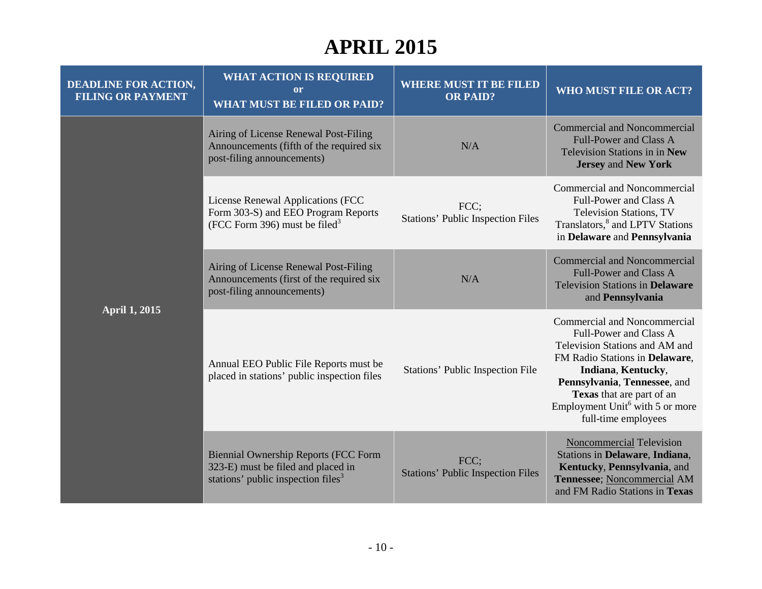# **APRIL 2015**

| <b>DEADLINE FOR ACTION,</b><br><b>FILING OR PAYMENT</b> | <b>WHAT ACTION IS REQUIRED</b><br><b>or</b><br><b>WHAT MUST BE FILED OR PAID?</b>                                                   | <b>WHERE MUST IT BE FILED</b><br><b>OR PAID?</b> | <b>WHO MUST FILE OR ACT?</b>                                                                                                                                                                                                                                                        |
|---------------------------------------------------------|-------------------------------------------------------------------------------------------------------------------------------------|--------------------------------------------------|-------------------------------------------------------------------------------------------------------------------------------------------------------------------------------------------------------------------------------------------------------------------------------------|
| <b>April 1, 2015</b>                                    | Airing of License Renewal Post-Filing<br>Announcements (fifth of the required six<br>post-filing announcements)                     | N/A                                              | <b>Commercial and Noncommercial</b><br><b>Full-Power and Class A</b><br>Television Stations in in New<br><b>Jersey and New York</b>                                                                                                                                                 |
|                                                         | License Renewal Applications (FCC<br>Form 303-S) and EEO Program Reports<br>(FCC Form 396) must be filed <sup>3</sup>               | FCC;<br><b>Stations' Public Inspection Files</b> | Commercial and Noncommercial<br>Full-Power and Class A<br><b>Television Stations, TV</b><br>Translators, <sup>8</sup> and LPTV Stations<br>in Delaware and Pennsylvania                                                                                                             |
|                                                         | Airing of License Renewal Post-Filing<br>Announcements (first of the required six<br>post-filing announcements)                     | N/A                                              | <b>Commercial and Noncommercial</b><br><b>Full-Power and Class A</b><br><b>Television Stations in Delaware</b><br>and Pennsylvania                                                                                                                                                  |
|                                                         | Annual EEO Public File Reports must be<br>placed in stations' public inspection files                                               | Stations' Public Inspection File                 | Commercial and Noncommercial<br>Full-Power and Class A<br>Television Stations and AM and<br>FM Radio Stations in Delaware,<br>Indiana, Kentucky,<br>Pennsylvania, Tennessee, and<br>Texas that are part of an<br>Employment Unit <sup>6</sup> with 5 or more<br>full-time employees |
|                                                         | <b>Biennial Ownership Reports (FCC Form</b><br>323-E) must be filed and placed in<br>stations' public inspection files <sup>3</sup> | FCC:<br><b>Stations' Public Inspection Files</b> | <b>Noncommercial Television</b><br>Stations in Delaware, Indiana,<br>Kentucky, Pennsylvania, and<br>Tennessee; Noncommercial AM<br>and FM Radio Stations in Texas                                                                                                                   |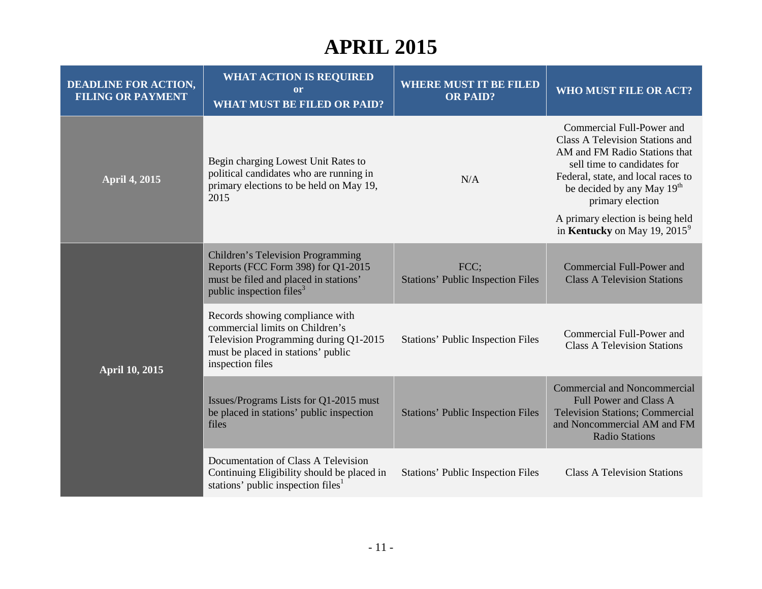# **APRIL 2015**

| <b>DEADLINE FOR ACTION,</b><br><b>FILING OR PAYMENT</b> | <b>WHAT ACTION IS REQUIRED</b><br>or<br><b>WHAT MUST BE FILED OR PAID?</b>                                                                                            | <b>WHERE MUST IT BE FILED</b><br><b>OR PAID?</b> | WHO MUST FILE OR ACT?                                                                                                                                                                                                                                                |
|---------------------------------------------------------|-----------------------------------------------------------------------------------------------------------------------------------------------------------------------|--------------------------------------------------|----------------------------------------------------------------------------------------------------------------------------------------------------------------------------------------------------------------------------------------------------------------------|
| <b>April 4, 2015</b>                                    | Begin charging Lowest Unit Rates to<br>political candidates who are running in<br>primary elections to be held on May 19,<br>2015                                     | N/A                                              | Commercial Full-Power and<br>Class A Television Stations and<br>AM and FM Radio Stations that<br>sell time to candidates for<br>Federal, state, and local races to<br>be decided by any May 19 <sup>th</sup><br>primary election<br>A primary election is being held |
|                                                         |                                                                                                                                                                       |                                                  | in Kentucky on May 19, $2015^9$                                                                                                                                                                                                                                      |
| <b>April 10, 2015</b>                                   | <b>Children's Television Programming</b><br>Reports (FCC Form 398) for Q1-2015<br>must be filed and placed in stations'<br>public inspection files <sup>3</sup>       | FCC;<br><b>Stations' Public Inspection Files</b> | <b>Commercial Full-Power and</b><br><b>Class A Television Stations</b>                                                                                                                                                                                               |
|                                                         | Records showing compliance with<br>commercial limits on Children's<br>Television Programming during Q1-2015<br>must be placed in stations' public<br>inspection files | <b>Stations' Public Inspection Files</b>         | Commercial Full-Power and<br><b>Class A Television Stations</b>                                                                                                                                                                                                      |
|                                                         | Issues/Programs Lists for Q1-2015 must<br>be placed in stations' public inspection<br>files                                                                           | <b>Stations' Public Inspection Files</b>         | <b>Commercial and Noncommercial</b><br><b>Full Power and Class A</b><br><b>Television Stations; Commercial</b><br>and Noncommercial AM and FM<br><b>Radio Stations</b>                                                                                               |
|                                                         | Documentation of Class A Television<br>Continuing Eligibility should be placed in<br>stations' public inspection files <sup>1</sup>                                   | <b>Stations' Public Inspection Files</b>         | <b>Class A Television Stations</b>                                                                                                                                                                                                                                   |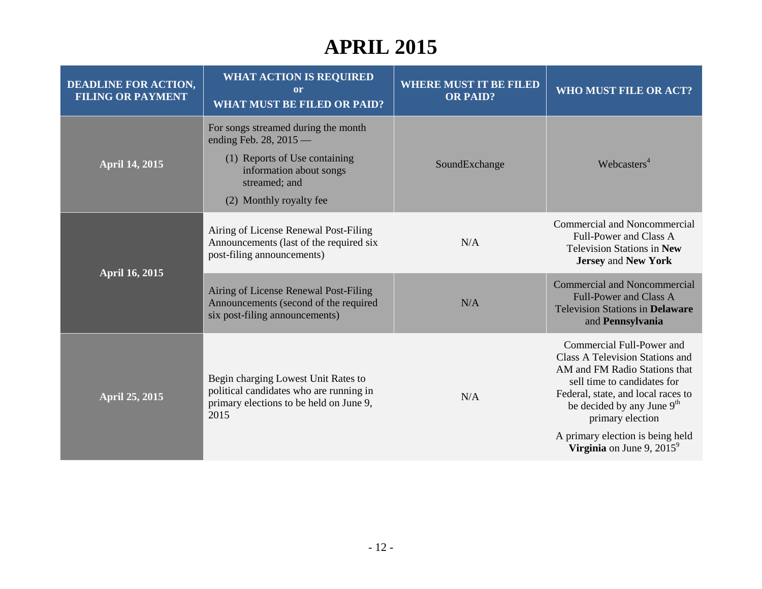# **APRIL 2015**

| <b>DEADLINE FOR ACTION,</b><br><b>FILING OR PAYMENT</b> | <b>WHAT ACTION IS REQUIRED</b><br><sub>or</sub><br><b>WHAT MUST BE FILED OR PAID?</b>                                                                                   | <b>WHERE MUST IT BE FILED</b><br><b>OR PAID?</b> | WHO MUST FILE OR ACT?                                                                                                                                                                                                                                                                                       |
|---------------------------------------------------------|-------------------------------------------------------------------------------------------------------------------------------------------------------------------------|--------------------------------------------------|-------------------------------------------------------------------------------------------------------------------------------------------------------------------------------------------------------------------------------------------------------------------------------------------------------------|
| <b>April 14, 2015</b>                                   | For songs streamed during the month<br>ending Feb. 28, $2015$ —<br>(1) Reports of Use containing<br>information about songs<br>streamed; and<br>(2) Monthly royalty fee | SoundExchange                                    | Webcasters <sup>4</sup>                                                                                                                                                                                                                                                                                     |
| <b>April 16, 2015</b>                                   | Airing of License Renewal Post-Filing<br>Announcements (last of the required six<br>post-filing announcements)                                                          | N/A                                              | <b>Commercial and Noncommercial</b><br>Full-Power and Class A<br><b>Television Stations in New</b><br><b>Jersey and New York</b>                                                                                                                                                                            |
|                                                         | Airing of License Renewal Post-Filing<br>Announcements (second of the required<br>six post-filing announcements)                                                        | N/A                                              | <b>Commercial and Noncommercial</b><br><b>Full-Power and Class A</b><br><b>Television Stations in Delaware</b><br>and Pennsylvania                                                                                                                                                                          |
| <b>April 25, 2015</b>                                   | Begin charging Lowest Unit Rates to<br>political candidates who are running in<br>primary elections to be held on June 9,<br>2015                                       | N/A                                              | Commercial Full-Power and<br><b>Class A Television Stations and</b><br>AM and FM Radio Stations that<br>sell time to candidates for<br>Federal, state, and local races to<br>be decided by any June 9 <sup>th</sup><br>primary election<br>A primary election is being held<br>Virginia on June 9, $2015^9$ |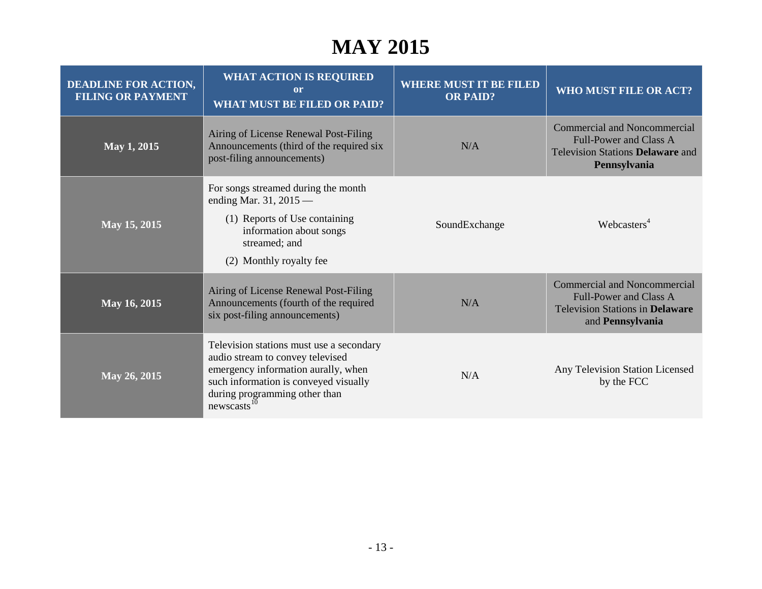# **MAY 2015**

| <b>DEADLINE FOR ACTION,</b><br><b>FILING OR PAYMENT</b> | <b>WHAT ACTION IS REQUIRED</b><br>or<br><b>WHAT MUST BE FILED OR PAID?</b>                                                                                                                                         | <b>WHERE MUST IT BE FILED</b><br><b>OR PAID?</b> | WHO MUST FILE OR ACT?                                                                                                              |
|---------------------------------------------------------|--------------------------------------------------------------------------------------------------------------------------------------------------------------------------------------------------------------------|--------------------------------------------------|------------------------------------------------------------------------------------------------------------------------------------|
| May 1, 2015                                             | Airing of License Renewal Post-Filing<br>Announcements (third of the required six<br>post-filing announcements)                                                                                                    | N/A                                              | <b>Commercial and Noncommercial</b><br><b>Full-Power and Class A</b><br>Television Stations Delaware and<br>Pennsylvania           |
| May 15, 2015                                            | For songs streamed during the month<br>ending Mar. $31, 2015$ —<br>(1) Reports of Use containing<br>information about songs<br>streamed; and<br>(2) Monthly royalty fee                                            | SoundExchange                                    | Webcasters <sup>4</sup>                                                                                                            |
| May 16, 2015                                            | Airing of License Renewal Post-Filing<br>Announcements (fourth of the required<br>six post-filing announcements)                                                                                                   | N/A                                              | <b>Commercial and Noncommercial</b><br><b>Full-Power and Class A</b><br><b>Television Stations in Delaware</b><br>and Pennsylvania |
| May 26, 2015                                            | Television stations must use a secondary<br>audio stream to convey televised<br>emergency information aurally, when<br>such information is conveyed visually<br>during programming other than<br>newscasts $^{10}$ | N/A                                              | Any Television Station Licensed<br>by the FCC                                                                                      |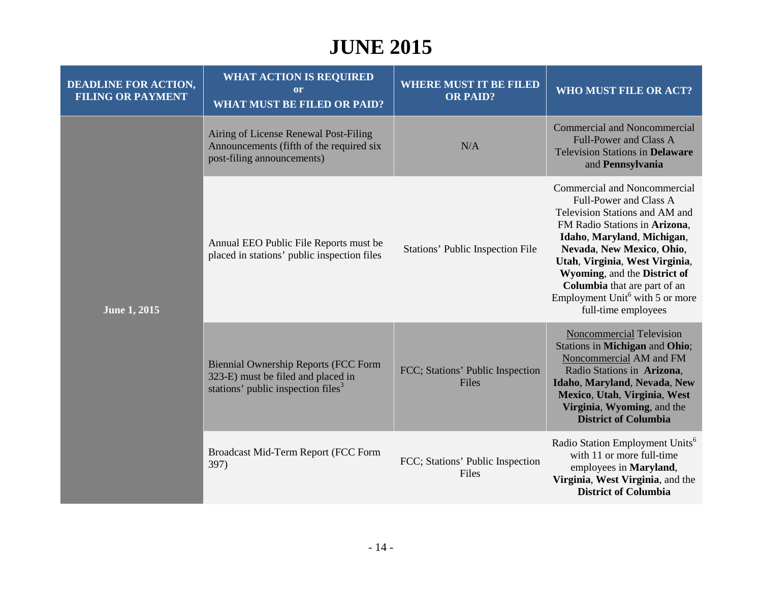# **JUNE 2015**

| <b>DEADLINE FOR ACTION,</b><br><b>FILING OR PAYMENT</b> | <b>WHAT ACTION IS REQUIRED</b><br><sub>or</sub><br><b>WHAT MUST BE FILED OR PAID?</b>                                               | <b>WHERE MUST IT BE FILED</b><br><b>OR PAID?</b> | WHO MUST FILE OR ACT?                                                                                                                                                                                                                                                                                                                                        |
|---------------------------------------------------------|-------------------------------------------------------------------------------------------------------------------------------------|--------------------------------------------------|--------------------------------------------------------------------------------------------------------------------------------------------------------------------------------------------------------------------------------------------------------------------------------------------------------------------------------------------------------------|
| <b>June 1, 2015</b>                                     | Airing of License Renewal Post-Filing<br>Announcements (fifth of the required six<br>post-filing announcements)                     | N/A                                              | <b>Commercial and Noncommercial</b><br><b>Full-Power and Class A</b><br><b>Television Stations in Delaware</b><br>and Pennsylvania                                                                                                                                                                                                                           |
|                                                         | Annual EEO Public File Reports must be<br>placed in stations' public inspection files                                               | Stations' Public Inspection File                 | Commercial and Noncommercial<br>Full-Power and Class A<br>Television Stations and AM and<br>FM Radio Stations in Arizona,<br>Idaho, Maryland, Michigan,<br>Nevada, New Mexico, Ohio,<br>Utah, Virginia, West Virginia,<br>Wyoming, and the District of<br>Columbia that are part of an<br>Employment Unit <sup>6</sup> with 5 or more<br>full-time employees |
|                                                         | <b>Biennial Ownership Reports (FCC Form</b><br>323-E) must be filed and placed in<br>stations' public inspection files <sup>3</sup> | FCC; Stations' Public Inspection<br>Files        | <b>Noncommercial Television</b><br>Stations in Michigan and Ohio;<br>Noncommercial AM and FM<br>Radio Stations in Arizona,<br>Idaho, Maryland, Nevada, New<br>Mexico, Utah, Virginia, West<br>Virginia, Wyoming, and the<br><b>District of Columbia</b>                                                                                                      |
|                                                         | Broadcast Mid-Term Report (FCC Form<br>397)                                                                                         | FCC; Stations' Public Inspection<br>Files        | Radio Station Employment Units <sup>6</sup><br>with 11 or more full-time<br>employees in Maryland,<br>Virginia, West Virginia, and the<br><b>District of Columbia</b>                                                                                                                                                                                        |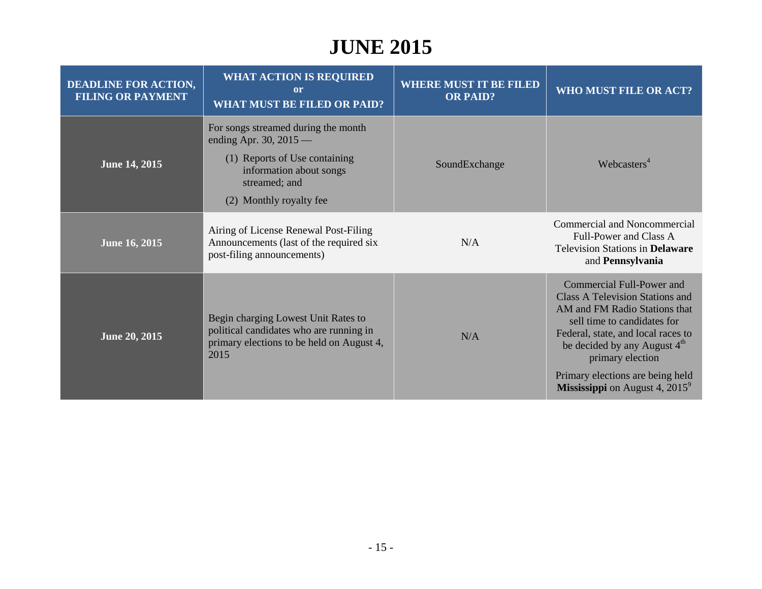## **JUNE 2015**

| <b>DEADLINE FOR ACTION,</b><br><b>FILING OR PAYMENT</b> | <b>WHAT ACTION IS REQUIRED</b><br>or<br><b>WHAT MUST BE FILED OR PAID?</b>                                                                                              | <b>WHERE MUST IT BE FILED</b><br><b>OR PAID?</b> | WHO MUST FILE OR ACT?                                                                                                                                                                                                                                                                                           |
|---------------------------------------------------------|-------------------------------------------------------------------------------------------------------------------------------------------------------------------------|--------------------------------------------------|-----------------------------------------------------------------------------------------------------------------------------------------------------------------------------------------------------------------------------------------------------------------------------------------------------------------|
| June 14, 2015                                           | For songs streamed during the month<br>ending Apr. 30, $2015$ —<br>(1) Reports of Use containing<br>information about songs<br>streamed; and<br>(2) Monthly royalty fee | SoundExchange                                    | Webcasters <sup>4</sup>                                                                                                                                                                                                                                                                                         |
| <b>June 16, 2015</b>                                    | Airing of License Renewal Post-Filing<br>Announcements (last of the required six<br>post-filing announcements)                                                          | N/A                                              | Commercial and Noncommercial<br>Full-Power and Class A<br><b>Television Stations in Delaware</b><br>and Pennsylvania                                                                                                                                                                                            |
| June 20, 2015                                           | Begin charging Lowest Unit Rates to<br>political candidates who are running in<br>primary elections to be held on August 4,<br>2015                                     | N/A                                              | Commercial Full-Power and<br><b>Class A Television Stations and</b><br>AM and FM Radio Stations that<br>sell time to candidates for<br>Federal, state, and local races to<br>be decided by any August $4th$<br>primary election<br>Primary elections are being held<br><b>Mississippi</b> on August 4, $2015^9$ |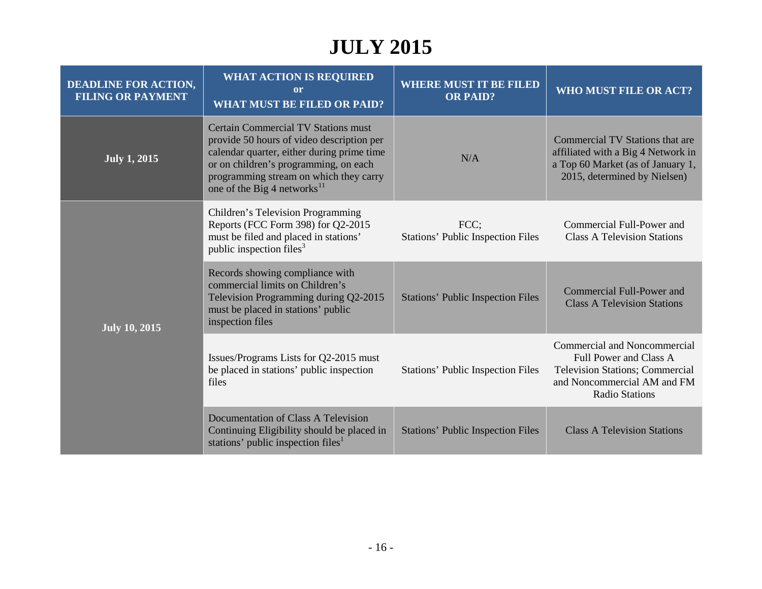# **JULY 2015**

| <b>DEADLINE FOR ACTION,</b><br><b>FILING OR PAYMENT</b> | <b>WHAT ACTION IS REQUIRED</b><br><b>or</b><br><b>WHAT MUST BE FILED OR PAID?</b>                                                                                                                                                                                   | <b>WHERE MUST IT BE FILED</b><br><b>OR PAID?</b> | WHO MUST FILE OR ACT?                                                                                                                                    |
|---------------------------------------------------------|---------------------------------------------------------------------------------------------------------------------------------------------------------------------------------------------------------------------------------------------------------------------|--------------------------------------------------|----------------------------------------------------------------------------------------------------------------------------------------------------------|
| <b>July 1, 2015</b>                                     | <b>Certain Commercial TV Stations must</b><br>provide 50 hours of video description per<br>calendar quarter, either during prime time<br>or on children's programming, on each<br>programming stream on which they carry<br>one of the Big 4 networks <sup>11</sup> | N/A                                              | Commercial TV Stations that are<br>affiliated with a Big 4 Network in<br>a Top 60 Market (as of January 1,<br>2015, determined by Nielsen)               |
| <b>July 10, 2015</b>                                    | Children's Television Programming<br>Reports (FCC Form 398) for Q2-2015<br>must be filed and placed in stations'<br>public inspection files <sup>3</sup>                                                                                                            | FCC;<br><b>Stations' Public Inspection Files</b> | Commercial Full-Power and<br><b>Class A Television Stations</b>                                                                                          |
|                                                         | Records showing compliance with<br>commercial limits on Children's<br>Television Programming during Q2-2015<br>must be placed in stations' public<br>inspection files                                                                                               | <b>Stations' Public Inspection Files</b>         | <b>Commercial Full-Power and</b><br><b>Class A Television Stations</b>                                                                                   |
|                                                         | Issues/Programs Lists for Q2-2015 must<br>be placed in stations' public inspection<br>files                                                                                                                                                                         | <b>Stations' Public Inspection Files</b>         | Commercial and Noncommercial<br>Full Power and Class A<br><b>Television Stations; Commercial</b><br>and Noncommercial AM and FM<br><b>Radio Stations</b> |
|                                                         | Documentation of Class A Television<br>Continuing Eligibility should be placed in<br>stations' public inspection files <sup>1</sup>                                                                                                                                 | <b>Stations' Public Inspection Files</b>         | <b>Class A Television Stations</b>                                                                                                                       |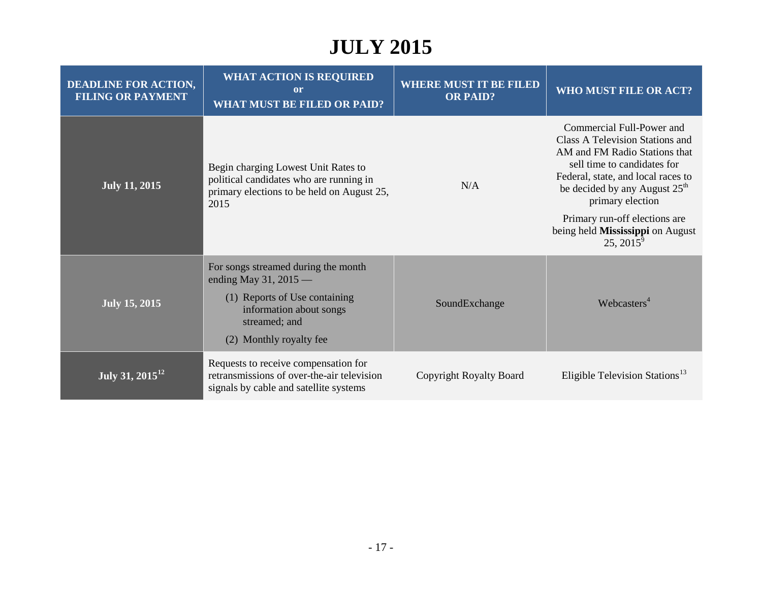# **JULY 2015**

| <b>DEADLINE FOR ACTION,</b><br><b>FILING OR PAYMENT</b> | <b>WHAT ACTION IS REQUIRED</b><br><sub>or</sub><br><b>WHAT MUST BE FILED OR PAID?</b>                                                | <b>WHERE MUST IT BE FILED</b><br><b>OR PAID?</b> | WHO MUST FILE OR ACT?                                                                                                                                                                                                                                                                                                    |
|---------------------------------------------------------|--------------------------------------------------------------------------------------------------------------------------------------|--------------------------------------------------|--------------------------------------------------------------------------------------------------------------------------------------------------------------------------------------------------------------------------------------------------------------------------------------------------------------------------|
| <b>July 11, 2015</b>                                    | Begin charging Lowest Unit Rates to<br>political candidates who are running in<br>primary elections to be held on August 25,<br>2015 | N/A                                              | Commercial Full-Power and<br>Class A Television Stations and<br>AM and FM Radio Stations that<br>sell time to candidates for<br>Federal, state, and local races to<br>be decided by any August 25 <sup>th</sup><br>primary election<br>Primary run-off elections are<br>being held Mississippi on August<br>$25, 2015^9$ |
|                                                         |                                                                                                                                      |                                                  |                                                                                                                                                                                                                                                                                                                          |
| <b>July 15, 2015</b>                                    | For songs streamed during the month<br>ending May 31, $2015$ —<br>(1) Reports of Use containing<br>information about songs           | SoundExchange                                    | Webcasters <sup>4</sup>                                                                                                                                                                                                                                                                                                  |
|                                                         | streamed; and<br>(2) Monthly royalty fee                                                                                             |                                                  |                                                                                                                                                                                                                                                                                                                          |
| July 31, 2015 <sup>12</sup>                             | Requests to receive compensation for<br>retransmissions of over-the-air television<br>signals by cable and satellite systems         | <b>Copyright Royalty Board</b>                   | Eligible Television Stations <sup>13</sup>                                                                                                                                                                                                                                                                               |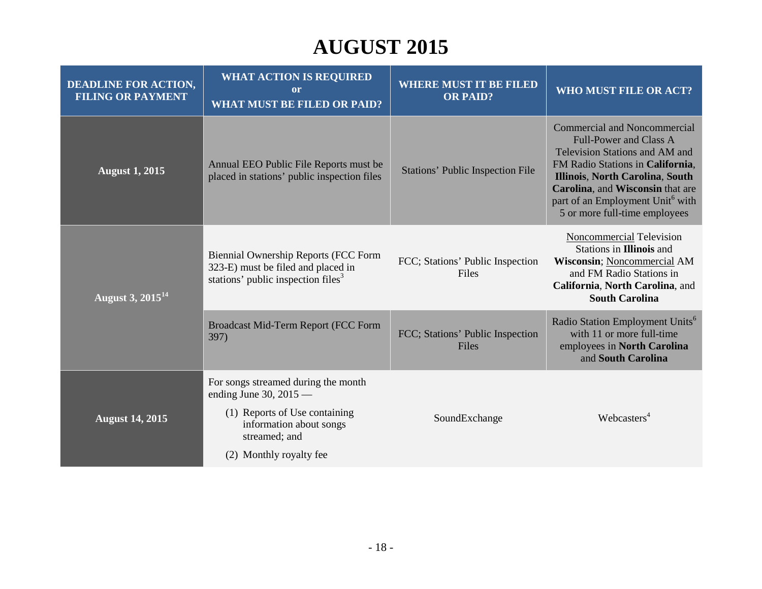# **AUGUST 2015**

| <b>DEADLINE FOR ACTION,</b><br><b>FILING OR PAYMENT</b> | <b>WHAT ACTION IS REQUIRED</b><br><sub>or</sub><br><b>WHAT MUST BE FILED OR PAID?</b>                                                                                   | <b>WHERE MUST IT BE FILED</b><br><b>OR PAID?</b> | <b>WHO MUST FILE OR ACT?</b>                                                                                                                                                                                                                                                                       |
|---------------------------------------------------------|-------------------------------------------------------------------------------------------------------------------------------------------------------------------------|--------------------------------------------------|----------------------------------------------------------------------------------------------------------------------------------------------------------------------------------------------------------------------------------------------------------------------------------------------------|
| <b>August 1, 2015</b>                                   | Annual EEO Public File Reports must be<br>placed in stations' public inspection files                                                                                   | <b>Stations' Public Inspection File</b>          | <b>Commercial and Noncommercial</b><br><b>Full-Power and Class A</b><br>Television Stations and AM and<br>FM Radio Stations in California,<br>Illinois, North Carolina, South<br>Carolina, and Wisconsin that are<br>part of an Employment Unit <sup>6</sup> with<br>5 or more full-time employees |
| August 3, $2015^{14}$                                   | <b>Biennial Ownership Reports (FCC Form</b><br>323-E) must be filed and placed in<br>stations' public inspection files $3$                                              | FCC; Stations' Public Inspection<br>Files        | Noncommercial Television<br>Stations in <b>Illinois</b> and<br>Wisconsin; Noncommercial AM<br>and FM Radio Stations in<br>California, North Carolina, and<br><b>South Carolina</b>                                                                                                                 |
|                                                         | Broadcast Mid-Term Report (FCC Form<br>397)                                                                                                                             | FCC; Stations' Public Inspection<br>Files        | Radio Station Employment Units <sup>6</sup><br>with 11 or more full-time<br>employees in North Carolina<br>and South Carolina                                                                                                                                                                      |
| <b>August 14, 2015</b>                                  | For songs streamed during the month<br>ending June 30, $2015$ —<br>(1) Reports of Use containing<br>information about songs<br>streamed; and<br>(2) Monthly royalty fee | SoundExchange                                    | Webcasters <sup>4</sup>                                                                                                                                                                                                                                                                            |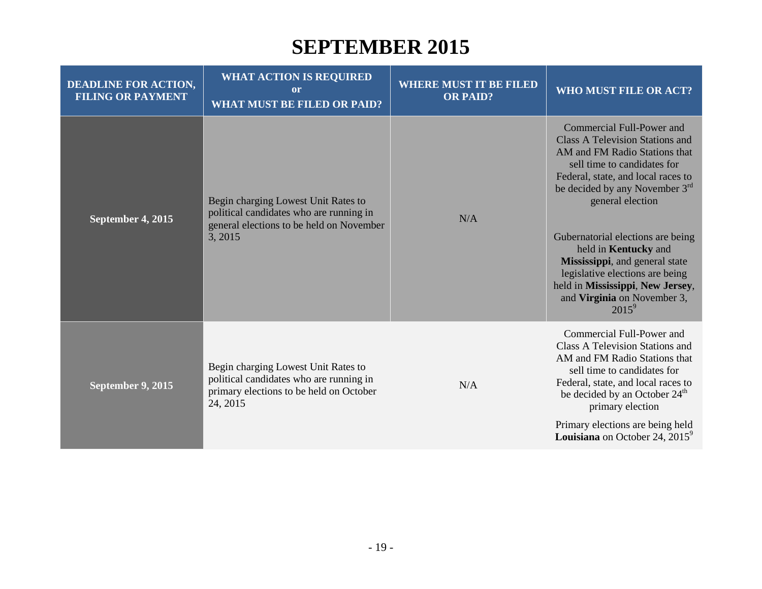#### **SEPTEMBER 2015**

| <b>DEADLINE FOR ACTION,</b><br><b>FILING OR PAYMENT</b> | <b>WHAT ACTION IS REQUIRED</b><br><b>or</b><br><b>WHAT MUST BE FILED OR PAID?</b>                                                     | <b>WHERE MUST IT BE FILED</b><br><b>OR PAID?</b> | WHO MUST FILE OR ACT?                                                                                                                                                                                                                                                                                                                                                                                                                                     |
|---------------------------------------------------------|---------------------------------------------------------------------------------------------------------------------------------------|--------------------------------------------------|-----------------------------------------------------------------------------------------------------------------------------------------------------------------------------------------------------------------------------------------------------------------------------------------------------------------------------------------------------------------------------------------------------------------------------------------------------------|
| September 4, 2015                                       | Begin charging Lowest Unit Rates to<br>political candidates who are running in<br>general elections to be held on November<br>3, 2015 | N/A                                              | Commercial Full-Power and<br><b>Class A Television Stations and</b><br>AM and FM Radio Stations that<br>sell time to candidates for<br>Federal, state, and local races to<br>be decided by any November $3rd$<br>general election<br>Gubernatorial elections are being<br>held in <b>Kentucky</b> and<br>Mississippi, and general state<br>legislative elections are being<br>held in Mississippi, New Jersey,<br>and Virginia on November 3,<br>$2015^9$ |
| September 9, 2015                                       | Begin charging Lowest Unit Rates to<br>political candidates who are running in<br>primary elections to be held on October<br>24, 2015 | N/A                                              | Commercial Full-Power and<br>Class A Television Stations and<br>AM and FM Radio Stations that<br>sell time to candidates for<br>Federal, state, and local races to<br>be decided by an October 24 <sup>th</sup><br>primary election<br>Primary elections are being held<br><b>Louisiana</b> on October 24, 2015 <sup>9</sup>                                                                                                                              |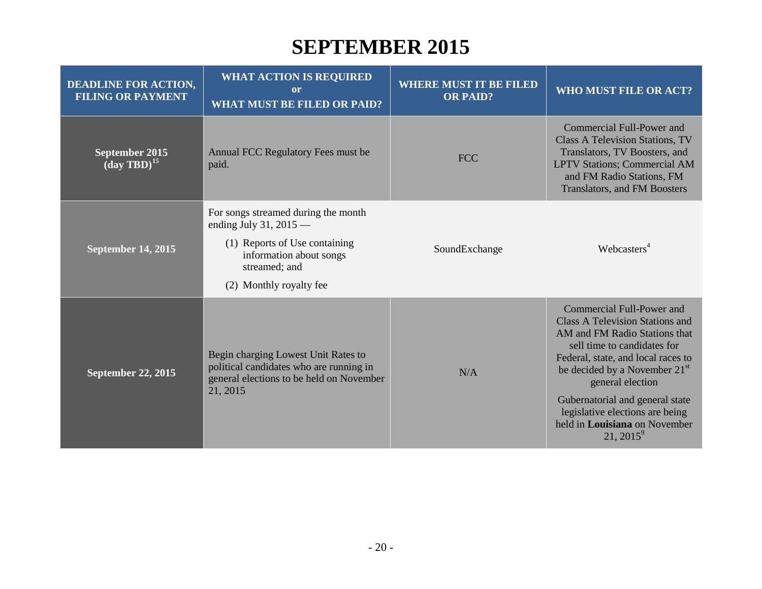#### **SEPTEMBER 2015**

| <b>DEADLINE FOR ACTION,</b><br><b>FILING OR PAYMENT</b> | <b>WHAT ACTION IS REQUIRED</b><br>or<br><b>WHAT MUST BE FILED OR PAID?</b>                                                                                              | <b>WHERE MUST IT BE FILED</b><br><b>OR PAID?</b> | <b>WHO MUST FILE OR ACT?</b>                                                                                                                                                                                                                                                                                                                                      |
|---------------------------------------------------------|-------------------------------------------------------------------------------------------------------------------------------------------------------------------------|--------------------------------------------------|-------------------------------------------------------------------------------------------------------------------------------------------------------------------------------------------------------------------------------------------------------------------------------------------------------------------------------------------------------------------|
| September 2015<br>$(\text{day TBD})^{15}$               | Annual FCC Regulatory Fees must be<br>paid.                                                                                                                             | <b>FCC</b>                                       | Commercial Full-Power and<br>Class A Television Stations, TV<br>Translators, TV Boosters, and<br><b>LPTV Stations; Commercial AM</b><br>and FM Radio Stations, FM<br><b>Translators, and FM Boosters</b>                                                                                                                                                          |
| <b>September 14, 2015</b>                               | For songs streamed during the month<br>ending July 31, 2015 $-$<br>(1) Reports of Use containing<br>information about songs<br>streamed; and<br>(2) Monthly royalty fee | SoundExchange                                    | Webcasters <sup>4</sup>                                                                                                                                                                                                                                                                                                                                           |
| September 22, 2015                                      | Begin charging Lowest Unit Rates to<br>political candidates who are running in<br>general elections to be held on November<br>21, 2015                                  | N/A                                              | Commercial Full-Power and<br><b>Class A Television Stations and</b><br>AM and FM Radio Stations that<br>sell time to candidates for<br>Federal, state, and local races to<br>be decided by a November 21 <sup>st</sup><br>general election<br>Gubernatorial and general state<br>legislative elections are being<br>held in Louisiana on November<br>$21, 2015^9$ |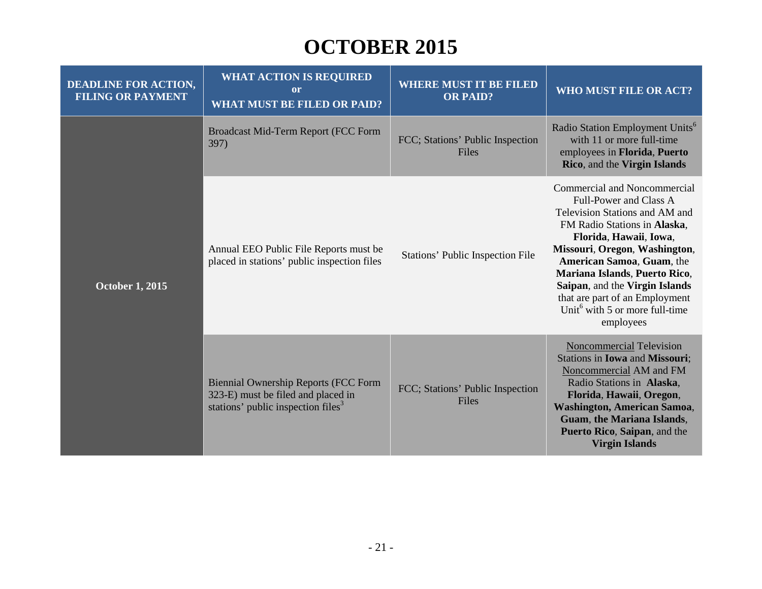### **OCTOBER 2015**

| <b>DEADLINE FOR ACTION,</b><br><b>FILING OR PAYMENT</b> | <b>WHAT ACTION IS REQUIRED</b><br><b>or</b><br><b>WHAT MUST BE FILED OR PAID?</b>                                                   | <b>WHERE MUST IT BE FILED</b><br><b>OR PAID?</b> | <b>WHO MUST FILE OR ACT?</b>                                                                                                                                                                                                                                                                                                                                                            |
|---------------------------------------------------------|-------------------------------------------------------------------------------------------------------------------------------------|--------------------------------------------------|-----------------------------------------------------------------------------------------------------------------------------------------------------------------------------------------------------------------------------------------------------------------------------------------------------------------------------------------------------------------------------------------|
| <b>October 1, 2015</b>                                  | Broadcast Mid-Term Report (FCC Form<br>397)                                                                                         | FCC; Stations' Public Inspection<br>Files        | Radio Station Employment Units <sup>6</sup><br>with 11 or more full-time<br>employees in Florida, Puerto<br>Rico, and the Virgin Islands                                                                                                                                                                                                                                                |
|                                                         | Annual EEO Public File Reports must be<br>placed in stations' public inspection files                                               | Stations' Public Inspection File                 | <b>Commercial and Noncommercial</b><br>Full-Power and Class A<br>Television Stations and AM and<br>FM Radio Stations in Alaska,<br>Florida, Hawaii, Iowa,<br>Missouri, Oregon, Washington,<br>American Samoa, Guam, the<br>Mariana Islands, Puerto Rico,<br>Saipan, and the Virgin Islands<br>that are part of an Employment<br>Unit <sup>6</sup> with 5 or more full-time<br>employees |
|                                                         | <b>Biennial Ownership Reports (FCC Form</b><br>323-E) must be filed and placed in<br>stations' public inspection files <sup>3</sup> | FCC; Stations' Public Inspection<br>Files        | <b>Noncommercial Television</b><br>Stations in Iowa and Missouri;<br>Noncommercial AM and FM<br>Radio Stations in Alaska,<br>Florida, Hawaii, Oregon,<br><b>Washington, American Samoa,</b><br>Guam, the Mariana Islands,<br>Puerto Rico, Saipan, and the<br><b>Virgin Islands</b>                                                                                                      |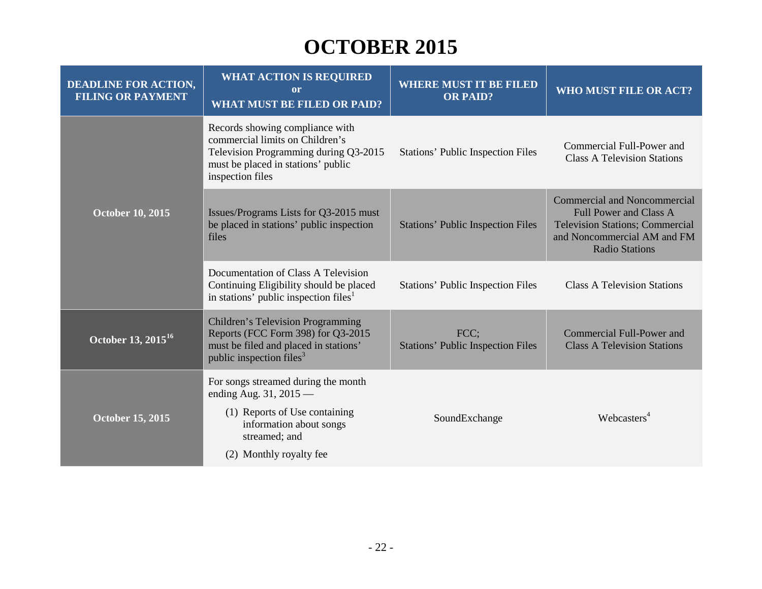# **OCTOBER 2015**

| <b>DEADLINE FOR ACTION,</b><br><b>FILING OR PAYMENT</b> | <b>WHAT ACTION IS REQUIRED</b><br><b>or</b><br><b>WHAT MUST BE FILED OR PAID?</b>                                                                                     | <b>WHERE MUST IT BE FILED</b><br><b>OR PAID?</b> | WHO MUST FILE OR ACT?                                                                                                                                                  |
|---------------------------------------------------------|-----------------------------------------------------------------------------------------------------------------------------------------------------------------------|--------------------------------------------------|------------------------------------------------------------------------------------------------------------------------------------------------------------------------|
| <b>October 10, 2015</b>                                 | Records showing compliance with<br>commercial limits on Children's<br>Television Programming during Q3-2015<br>must be placed in stations' public<br>inspection files | <b>Stations' Public Inspection Files</b>         | Commercial Full-Power and<br><b>Class A Television Stations</b>                                                                                                        |
|                                                         | Issues/Programs Lists for Q3-2015 must<br>be placed in stations' public inspection<br>files                                                                           | <b>Stations' Public Inspection Files</b>         | <b>Commercial and Noncommercial</b><br><b>Full Power and Class A</b><br><b>Television Stations; Commercial</b><br>and Noncommercial AM and FM<br><b>Radio Stations</b> |
|                                                         | Documentation of Class A Television<br>Continuing Eligibility should be placed<br>in stations' public inspection files <sup>1</sup>                                   | <b>Stations' Public Inspection Files</b>         | <b>Class A Television Stations</b>                                                                                                                                     |
| October 13, 2015 <sup>16</sup>                          | Children's Television Programming<br>Reports (FCC Form 398) for Q3-2015<br>must be filed and placed in stations'<br>public inspection files <sup>3</sup>              | FCC;<br><b>Stations' Public Inspection Files</b> | Commercial Full-Power and<br><b>Class A Television Stations</b>                                                                                                        |
| <b>October 15, 2015</b>                                 | For songs streamed during the month<br>ending Aug. 31, 2015 —<br>(1) Reports of Use containing<br>information about songs<br>streamed; and<br>(2) Monthly royalty fee | SoundExchange                                    | Webcasters <sup>4</sup>                                                                                                                                                |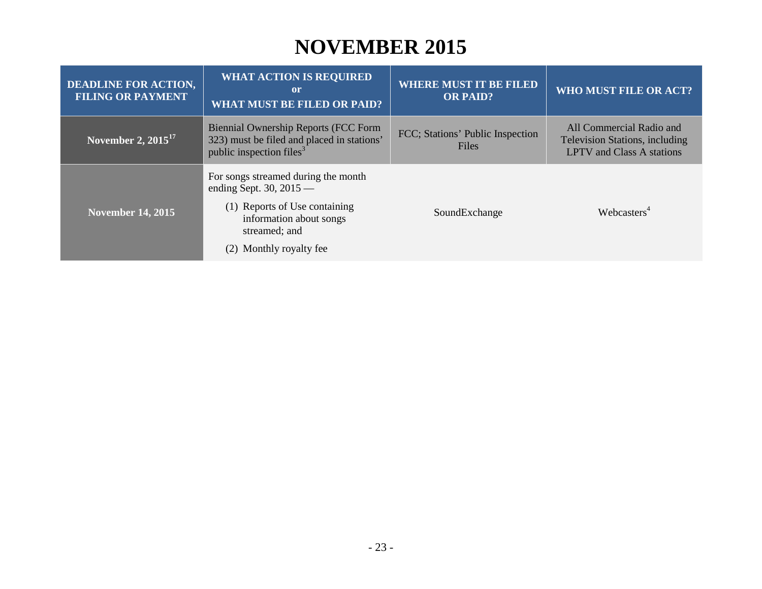#### **NOVEMBER 2015**

| <b>DEADLINE FOR ACTION,</b><br><b>FILING OR PAYMENT</b> | <b>WHAT ACTION IS REQUIRED</b><br>$\mathbf{or}$<br><b>WHAT MUST BE FILED OR PAID?</b>                                                                                    | <b>WHERE MUST IT BE FILED</b><br><b>OR PAID?</b> | WHO MUST FILE OR ACT?                                                                                 |
|---------------------------------------------------------|--------------------------------------------------------------------------------------------------------------------------------------------------------------------------|--------------------------------------------------|-------------------------------------------------------------------------------------------------------|
| November 2, $2015^{17}$                                 | Biennial Ownership Reports (FCC Form<br>323) must be filed and placed in stations'<br>public inspection files <sup>3</sup>                                               | FCC; Stations' Public Inspection<br><b>Files</b> | All Commercial Radio and<br><b>Television Stations, including</b><br><b>LPTV</b> and Class A stations |
| <b>November 14, 2015</b>                                | For songs streamed during the month<br>ending Sept. 30, $2015$ —<br>(1) Reports of Use containing<br>information about songs<br>streamed; and<br>(2) Monthly royalty fee | SoundExchange                                    | Webcasters <sup>4</sup>                                                                               |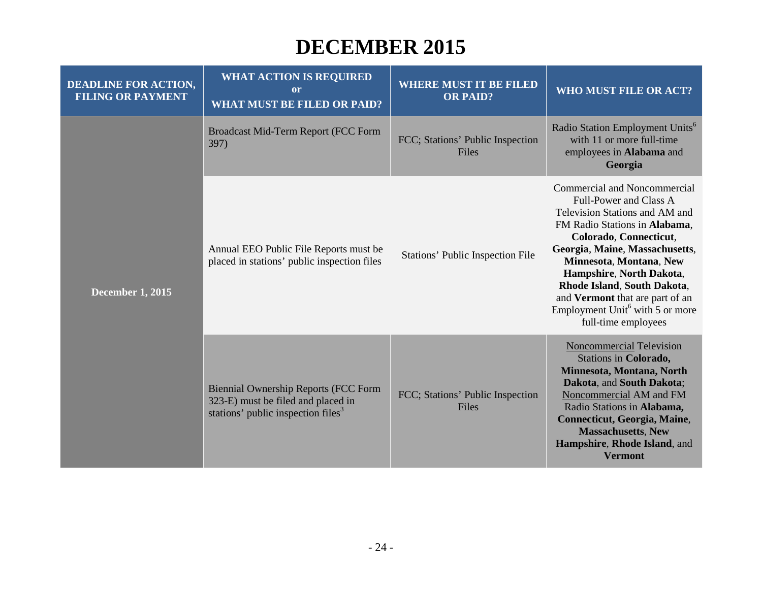#### **DECEMBER 2015**

| <b>DEADLINE FOR ACTION,</b><br><b>FILING OR PAYMENT</b> | <b>WHAT ACTION IS REQUIRED</b><br><sub>or</sub><br><b>WHAT MUST BE FILED OR PAID?</b>                                               | <b>WHERE MUST IT BE FILED</b><br><b>OR PAID?</b> | WHO MUST FILE OR ACT?                                                                                                                                                                                                                                                                                                                                                                |
|---------------------------------------------------------|-------------------------------------------------------------------------------------------------------------------------------------|--------------------------------------------------|--------------------------------------------------------------------------------------------------------------------------------------------------------------------------------------------------------------------------------------------------------------------------------------------------------------------------------------------------------------------------------------|
| <b>December 1, 2015</b>                                 | Broadcast Mid-Term Report (FCC Form<br>397)                                                                                         | FCC; Stations' Public Inspection<br>Files        | Radio Station Employment Units <sup>6</sup><br>with 11 or more full-time<br>employees in <b>Alabama</b> and<br>Georgia                                                                                                                                                                                                                                                               |
|                                                         | Annual EEO Public File Reports must be<br>placed in stations' public inspection files                                               | <b>Stations' Public Inspection File</b>          | Commercial and Noncommercial<br>Full-Power and Class A<br>Television Stations and AM and<br>FM Radio Stations in Alabama,<br>Colorado, Connecticut,<br>Georgia, Maine, Massachusetts,<br>Minnesota, Montana, New<br>Hampshire, North Dakota,<br>Rhode Island, South Dakota,<br>and Vermont that are part of an<br>Employment Unit <sup>6</sup> with 5 or more<br>full-time employees |
|                                                         | <b>Biennial Ownership Reports (FCC Form</b><br>323-E) must be filed and placed in<br>stations' public inspection files <sup>3</sup> | FCC; Stations' Public Inspection<br>Files        | Noncommercial Television<br>Stations in Colorado,<br>Minnesota, Montana, North<br>Dakota, and South Dakota;<br>Noncommercial AM and FM<br>Radio Stations in Alabama,<br>Connecticut, Georgia, Maine,<br><b>Massachusetts, New</b><br>Hampshire, Rhode Island, and<br><b>Vermont</b>                                                                                                  |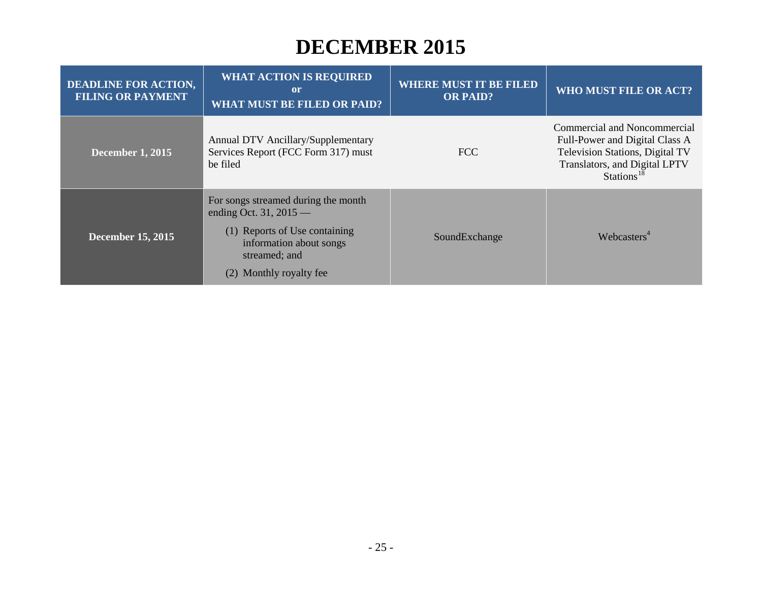#### **DECEMBER 2015**

| <b>DEADLINE FOR ACTION,</b><br><b>FILING OR PAYMENT</b> | <b>WHAT ACTION IS REQUIRED</b><br><sub>or</sub><br><b>WHAT MUST BE FILED OR PAID?</b>                                                                                      | <b>WHERE MUST IT BE FILED</b><br><b>OR PAID?</b> | <b>WHO MUST FILE OR ACT?</b>                                                                                                                                        |
|---------------------------------------------------------|----------------------------------------------------------------------------------------------------------------------------------------------------------------------------|--------------------------------------------------|---------------------------------------------------------------------------------------------------------------------------------------------------------------------|
| <b>December 1, 2015</b>                                 | Annual DTV Ancillary/Supplementary<br>Services Report (FCC Form 317) must<br>be filed                                                                                      | FCC                                              | Commercial and Noncommercial<br>Full-Power and Digital Class A<br><b>Television Stations, Digital TV</b><br>Translators, and Digital LPTV<br>Stations <sup>18</sup> |
| <b>December 15, 2015</b>                                | For songs streamed during the month<br>ending Oct. 31, $2015$ —<br>(1) Reports of Use containing<br>information about songs<br>streamed; and<br>Monthly royalty fee<br>(2) | SoundExchange                                    | Webcasters <sup>4</sup>                                                                                                                                             |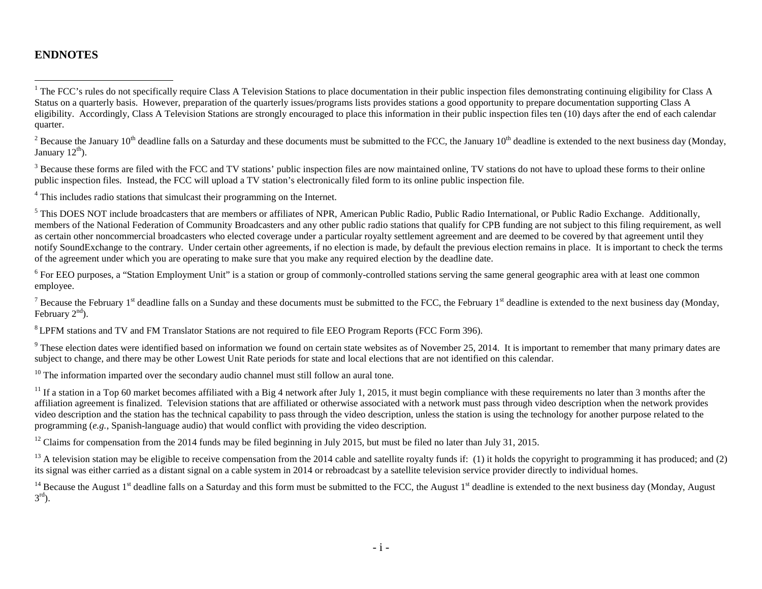#### **ENDNOTES**

<sup>2</sup> Because the January 10<sup>th</sup> deadline falls on a Saturday and these documents must be submitted to the FCC, the January 10<sup>th</sup> deadline is extended to the next business day (Monday, January  $12<sup>th</sup>$ ).

<sup>3</sup> Because these forms are filed with the FCC and TV stations' public inspection files are now maintained online, TV stations do not have to upload these forms to their online public inspection files. Instead, the FCC will upload a TV station's electronically filed form to its online public inspection file.

<sup>4</sup> This includes radio stations that simulcast their programming on the Internet.

 $<sup>5</sup>$  This DOES NOT include broadcasters that are members or affiliates of NPR. American Public Radio, Public Radio International, or Public Radio Exchange. Additionally,</sup> members of the National Federation of Community Broadcasters and any other public radio stations that qualify for CPB funding are not subject to this filing requirement, as well as certain other noncommercial broadcasters who elected coverage under a particular royalty settlement agreement and are deemed to be covered by that agreement until they notify SoundExchange to the contrary. Under certain other agreements, if no election is made, by default the previous election remains in place. It is important to check the terms of the agreement under which you are operating to make sure that you make any required election by the deadline date.

 $6$  For EEO purposes, a "Station Employment Unit" is a station or group of commonly-controlled stations serving the same general geographic area with at least one common employee.

<sup>7</sup> Because the February 1<sup>st</sup> deadline falls on a Sunday and these documents must be submitted to the FCC, the February 1<sup>st</sup> deadline is extended to the next business day (Monday, February  $2<sup>nd</sup>$ ).

<sup>8</sup> LPFM stations and TV and FM Translator Stations are not required to file EEO Program Reports (FCC Form 396).

 $9$  These election dates were identified based on information we found on certain state websites as of November 25, 2014. It is important to remember that many primary dates are subject to change, and there may be other Lowest Unit Rate periods for state and local elections that are not identified on this calendar.

 $10$  The information imparted over the secondary audio channel must still follow an aural tone.

 $11$  If a station in a Top 60 market becomes affiliated with a Big 4 network after July 1, 2015, it must begin compliance with these requirements no later than 3 months after the affiliation agreement is finalized. Television stations that are affiliated or otherwise associated with a network must pass through video description when the network provides video description and the station has the technical capability to pass through the video description, unless the station is using the technology for another purpose related to the programming (*e.g.*, Spanish-language audio) that would conflict with providing the video description.

<sup>12</sup> Claims for compensation from the 2014 funds may be filed beginning in July 2015, but must be filed no later than July 31, 2015.

<sup>13</sup> A television station may be eligible to receive compensation from the 2014 cable and satellite royalty funds if: (1) it holds the copyright to programming it has produced; and (2) its signal was either carried as a distant signal on a cable system in 2014 or rebroadcast by a satellite television service provider directly to individual homes.

<sup>14</sup> Because the August 1<sup>st</sup> deadline falls on a Saturday and this form must be submitted to the FCC, the August 1<sup>st</sup> deadline is extended to the next business day (Monday, August  $3^{\text{rd}}$ ).

<sup>&</sup>lt;sup>1</sup> The FCC's rules do not specifically require Class A Television Stations to place documentation in their public inspection files demonstrating continuing eligibility for Class A Status on a quarterly basis. However, preparation of the quarterly issues/programs lists provides stations a good opportunity to prepare documentation supporting Class A eligibility. Accordingly, Class A Television Stations are strongly encouraged to place this information in their public inspection files ten (10) days after the end of each calendar quarter.